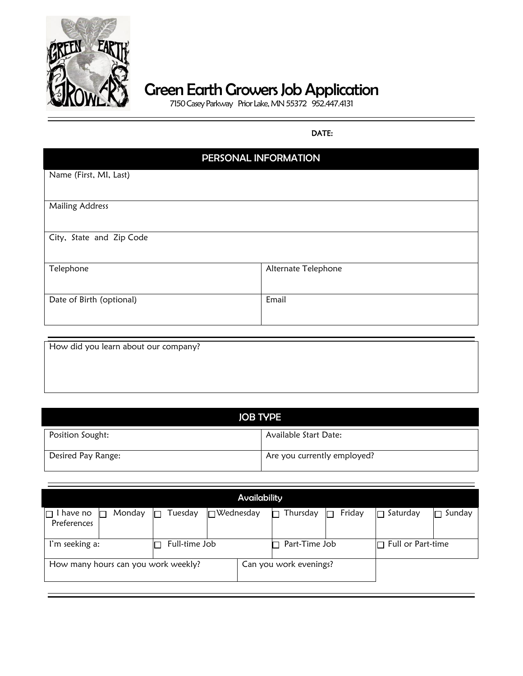

## Green Earth Growers Job Application

7150 Casey Parkway Prior Lake, MN 55372 952.447.4131

## **DATE:**

| PERSONAL INFORMATION     |                     |  |  |
|--------------------------|---------------------|--|--|
| Name (First, MI, Last)   |                     |  |  |
|                          |                     |  |  |
| <b>Mailing Address</b>   |                     |  |  |
|                          |                     |  |  |
| City, State and Zip Code |                     |  |  |
|                          |                     |  |  |
| Telephone                | Alternate Telephone |  |  |
|                          |                     |  |  |
| Date of Birth (optional) | Email               |  |  |
|                          |                     |  |  |

| How did you learn about our company? |  |  |
|--------------------------------------|--|--|
|                                      |  |  |
|                                      |  |  |
|                                      |  |  |

| <b>JOB TYPE</b>    |                             |  |  |
|--------------------|-----------------------------|--|--|
| Position Sought:   | Available Start Date:       |  |  |
| Desired Pay Range: | Are you currently employed? |  |  |

| <b>Availability</b>                 |               |                  |                        |        |                          |        |
|-------------------------------------|---------------|------------------|------------------------|--------|--------------------------|--------|
| Monday<br>have no<br>Preferences    | Tuesday       | $\Box$ Wednesday | Thursday               | Friday | Saturday                 | Sunday |
| I'm seeking a:                      | Full-time Job |                  | Part-Time Job          |        | $\Box$ Full or Part-time |        |
| How many hours can you work weekly? |               |                  | Can you work evenings? |        |                          |        |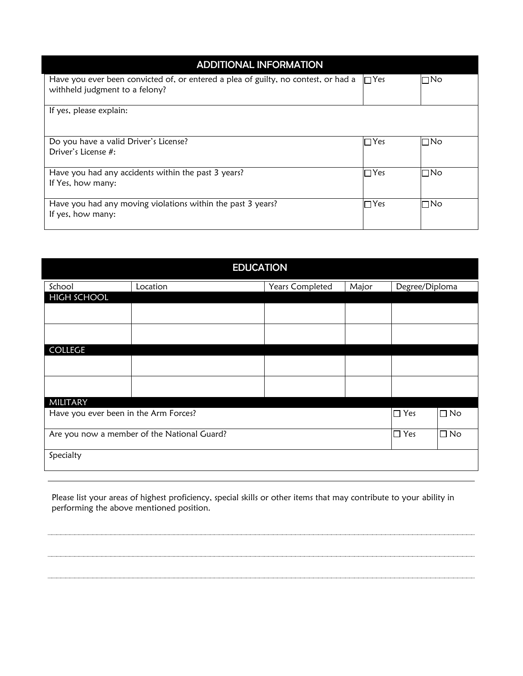| <b>ADDITIONAL INFORMATION</b>                                                                                                   |            |           |  |
|---------------------------------------------------------------------------------------------------------------------------------|------------|-----------|--|
| Have you ever been convicted of, or entered a plea of guilty, no contest, or had a $\Box$ Yes<br>withheld judgment to a felony? |            | $\Box$ No |  |
| If yes, please explain:                                                                                                         |            |           |  |
| Do you have a valid Driver's License?<br>Driver's License #:                                                                    | $\Box$ Yes | l⊟No      |  |
| Have you had any accidents within the past 3 years?<br>If Yes, how many:                                                        | $\Box$ Yes | l⊟No      |  |
| Have you had any moving violations within the past 3 years?<br>If yes, how many:                                                | $\Box$ Yes | l⊟No      |  |

| <b>EDUCATION</b>                            |          |                 |       |                |           |
|---------------------------------------------|----------|-----------------|-------|----------------|-----------|
| School                                      | Location | Years Completed | Major | Degree/Diploma |           |
| <b>HIGH SCHOOL</b>                          |          |                 |       |                |           |
|                                             |          |                 |       |                |           |
|                                             |          |                 |       |                |           |
| COLLEGE                                     |          |                 |       |                |           |
|                                             |          |                 |       |                |           |
|                                             |          |                 |       |                |           |
| MILITARY                                    |          |                 |       |                |           |
| Have you ever been in the Arm Forces?       |          |                 |       | $\square$ Yes  | $\Box$ No |
| Are you now a member of the National Guard? |          |                 |       | $\square$ Yes  | $\Box$ No |
| Specialty                                   |          |                 |       |                |           |

 Please list your areas of highest proficiency, special skills or other items that may contribute to your ability in performing the above mentioned position.

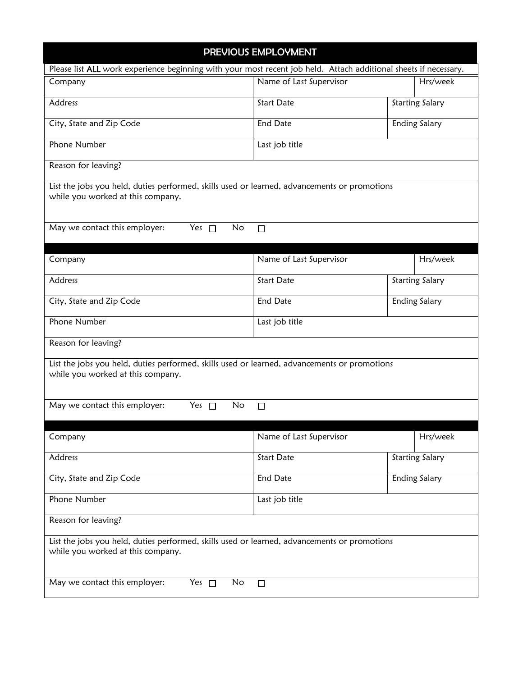| PREVIOUS EMPLOYMENT                                                                                                               |                         |                        |  |  |
|-----------------------------------------------------------------------------------------------------------------------------------|-------------------------|------------------------|--|--|
| Please list ALL work experience beginning with your most recent job held. Attach additional sheets if necessary.                  |                         |                        |  |  |
| Company                                                                                                                           | Name of Last Supervisor | Hrs/week               |  |  |
| Address                                                                                                                           | <b>Start Date</b>       | <b>Starting Salary</b> |  |  |
| City, State and Zip Code                                                                                                          | <b>End Date</b>         | <b>Ending Salary</b>   |  |  |
| Phone Number                                                                                                                      | Last job title          |                        |  |  |
| Reason for leaving?                                                                                                               |                         |                        |  |  |
| List the jobs you held, duties performed, skills used or learned, advancements or promotions<br>while you worked at this company. |                         |                        |  |  |
| May we contact this employer:<br>Yes $\Box$                                                                                       | No<br>$\Box$            |                        |  |  |
|                                                                                                                                   |                         |                        |  |  |
| Company                                                                                                                           | Name of Last Supervisor | Hrs/week               |  |  |
| Address                                                                                                                           | <b>Start Date</b>       | <b>Starting Salary</b> |  |  |
| City, State and Zip Code                                                                                                          | End Date                | <b>Ending Salary</b>   |  |  |
| Phone Number                                                                                                                      | Last job title          |                        |  |  |
| Reason for leaving?                                                                                                               |                         |                        |  |  |
| List the jobs you held, duties performed, skills used or learned, advancements or promotions<br>while you worked at this company. |                         |                        |  |  |
| May we contact this employer:<br>Yes $\Box$                                                                                       | No<br>$\Box$            |                        |  |  |
|                                                                                                                                   |                         |                        |  |  |
| Company                                                                                                                           | Name of Last Supervisor | Hrs/week               |  |  |
| Address                                                                                                                           | <b>Start Date</b>       | <b>Starting Salary</b> |  |  |
| City, State and Zip Code                                                                                                          | <b>End Date</b>         | <b>Ending Salary</b>   |  |  |
| Phone Number                                                                                                                      | Last job title          |                        |  |  |
| Reason for leaving?                                                                                                               |                         |                        |  |  |
| List the jobs you held, duties performed, skills used or learned, advancements or promotions<br>while you worked at this company. |                         |                        |  |  |
| May we contact this employer:<br>Yes $\Box$                                                                                       | No<br>$\Box$            |                        |  |  |